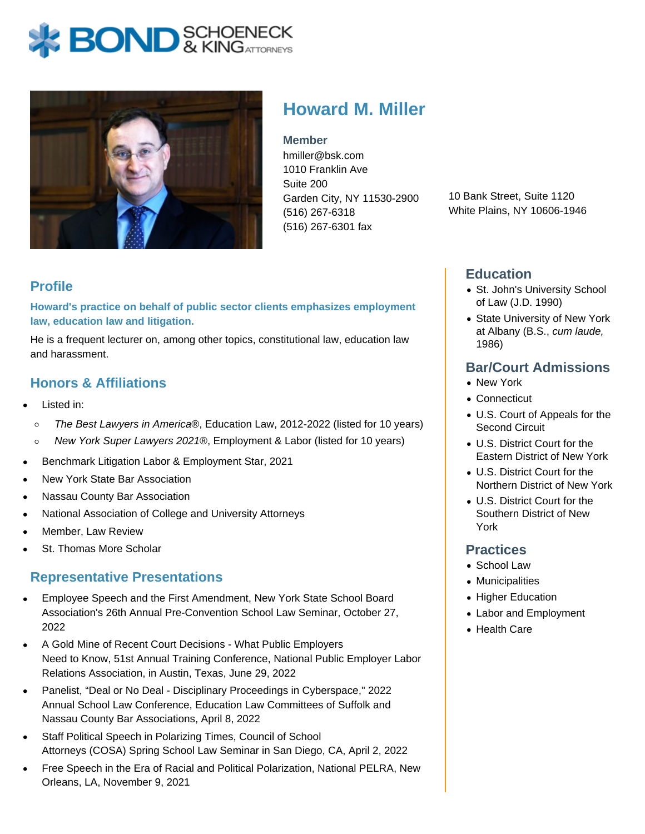



# **Howard M. Miller**

**Member** hmiller@bsk.com 1010 Franklin Ave Suite 200 Garden City, NY 11530-2900 (516) 267-6318 (516) 267-6301 fax

10 Bank Street, Suite 1120 White Plains, NY 10606-1946

## **Profile**

**Howard's practice on behalf of public sector clients emphasizes employment law, education law and litigation.**

He is a frequent lecturer on, among other topics, constitutional law, education law and harassment.

## **Honors & Affiliations**

- Listed in:
	- The Best Lawyers in America®, Education Law, 2012-2022 (listed for 10 years)  $\circ$
- New York Super Lawyers 2021®, Employment & Labor (listed for 10 years)  $\circ$
- Benchmark Litigation Labor & Employment Star, 2021
- New York State Bar Association
- Nassau County Bar Association
- National Association of College and University Attorneys
- Member, Law Review
- St. Thomas More Scholar

#### **Representative Presentations**

- Employee Speech and the First Amendment, New York State School Board Association's 26th Annual Pre-Convention School Law Seminar, October 27, 2022
- A Gold Mine of Recent Court Decisions What Public Employers Need to Know, 51st Annual Training Conference, National Public Employer Labor Relations Association, in Austin, Texas, June 29, 2022
- Panelist, "Deal or No Deal Disciplinary Proceedings in Cyberspace," 2022 Annual School Law Conference, Education Law Committees of Suffolk and Nassau County Bar Associations, April 8, 2022
- Staff Political Speech in Polarizing Times, Council of School Attorneys (COSA) Spring School Law Seminar in San Diego, CA, April 2, 2022
- Free Speech in the Era of Racial and Political Polarization, National PELRA, New Orleans, LA, November 9, 2021

#### **Education**

- St. John's University School of Law (J.D. 1990)
- State University of New York at Albany (B.S., cum laude, 1986)

#### **Bar/Court Admissions**

- New York
- Connecticut
- U.S. Court of Appeals for the Second Circuit
- U.S. District Court for the Eastern District of New York
- U.S. District Court for the Northern District of New York
- U.S. District Court for the Southern District of New York

#### **Practices**

- School Law
- Municipalities
- Higher Education
- Labor and Employment
- Health Care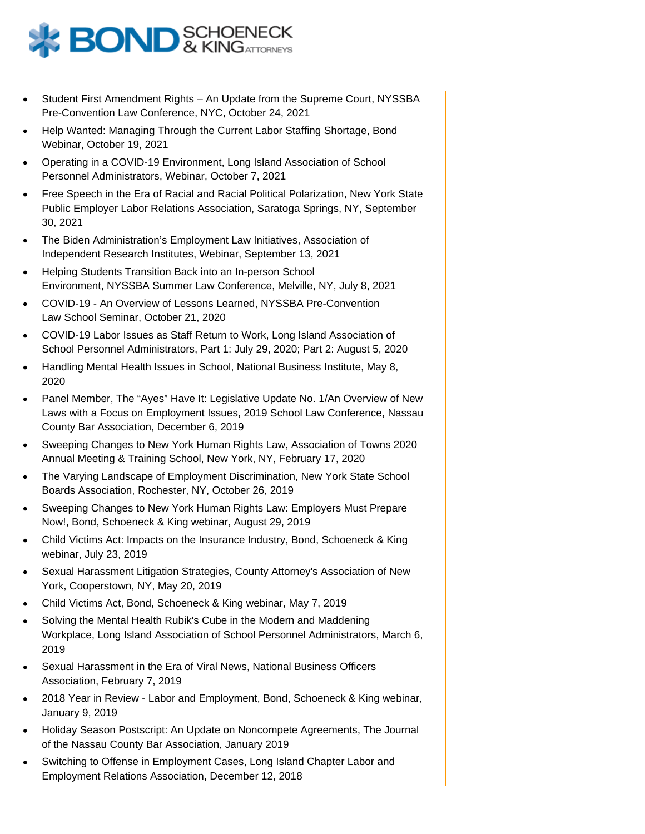

- Student First Amendment Rights An Update from the Supreme Court, NYSSBA Pre-Convention Law Conference, NYC, October 24, 2021
- Help Wanted: Managing Through the Current Labor Staffing Shortage, Bond Webinar, October 19, 2021
- Operating in a COVID-19 Environment, Long Island Association of School Personnel Administrators, Webinar, October 7, 2021
- Free Speech in the Era of Racial and Racial Political Polarization, New York State Public Employer Labor Relations Association, Saratoga Springs, NY, September 30, 2021
- The Biden Administration's Employment Law Initiatives, Association of  $\bullet$ Independent Research Institutes, Webinar, September 13, 2021
- Helping Students Transition Back into an In-person School Environment, NYSSBA Summer Law Conference, Melville, NY, July 8, 2021
- COVID-19 An Overview of Lessons Learned, NYSSBA Pre-Convention Law School Seminar, October 21, 2020
- COVID-19 Labor Issues as Staff Return to Work, Long Island Association of School Personnel Administrators, Part 1: July 29, 2020; Part 2: August 5, 2020
- Handling Mental Health Issues in School, National Business Institute, May 8, 2020
- Panel Member, The "Ayes" Have It: Legislative Update No. 1/An Overview of New Laws with a Focus on Employment Issues, 2019 School Law Conference, Nassau County Bar Association, December 6, 2019
- Sweeping Changes to New York Human Rights Law, Association of Towns 2020 Annual Meeting & Training School, New York, NY, February 17, 2020
- The Varying Landscape of Employment Discrimination, New York State School Boards Association, Rochester, NY, October 26, 2019
- Sweeping Changes to New York Human Rights Law: Employers Must Prepare Now!, Bond, Schoeneck & King webinar, August 29, 2019
- Child Victims Act: Impacts on the Insurance Industry, Bond, Schoeneck & King webinar, July 23, 2019
- Sexual Harassment Litigation Strategies, County Attorney's Association of New York, Cooperstown, NY, May 20, 2019
- Child Victims Act, Bond, Schoeneck & King webinar, May 7, 2019
- Solving the Mental Health Rubik's Cube in the Modern and Maddening Workplace, Long Island Association of School Personnel Administrators, March 6, 2019
- Sexual Harassment in the Era of Viral News, National Business Officers Association, February 7, 2019
- 2018 Year in Review Labor and Employment, Bond, Schoeneck & King webinar, January 9, 2019
- Holiday Season Postscript: An Update on Noncompete Agreements, The Journal of the Nassau County Bar Association, January 2019
- Switching to Offense in Employment Cases, Long Island Chapter Labor and Employment Relations Association, December 12, 2018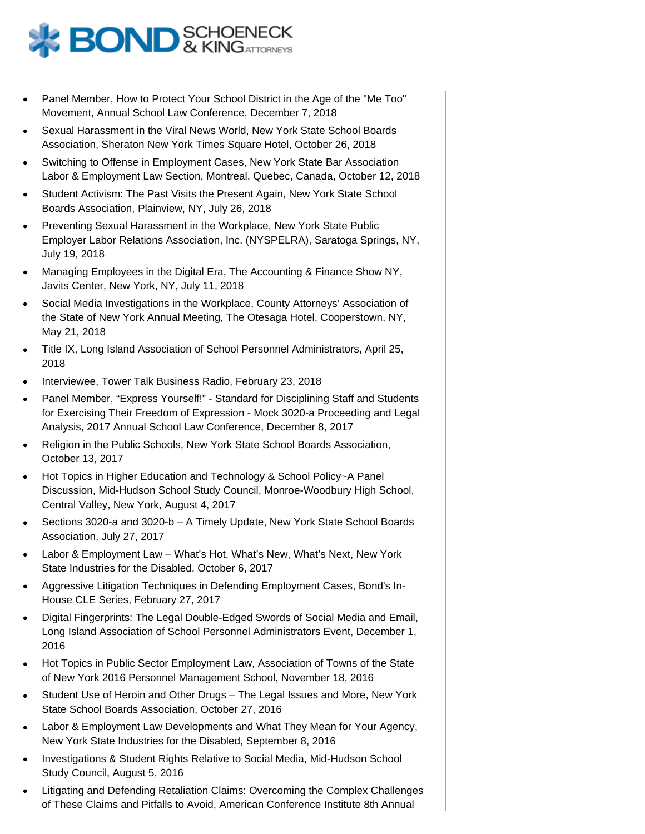

- Panel Member, How to Protect Your School District in the Age of the "Me Too" Movement, Annual School Law Conference, December 7, 2018
- Sexual Harassment in the Viral News World, New York State School Boards Association, Sheraton New York Times Square Hotel, October 26, 2018
- Switching to Offense in Employment Cases, New York State Bar Association Labor & Employment Law Section, Montreal, Quebec, Canada, October 12, 2018
- Student Activism: The Past Visits the Present Again, New York State School Boards Association, Plainview, NY, July 26, 2018
- Preventing Sexual Harassment in the Workplace, New York State Public Employer Labor Relations Association, Inc. (NYSPELRA), Saratoga Springs, NY, July 19, 2018
- Managing Employees in the Digital Era, The Accounting & Finance Show NY, Javits Center, New York, NY, July 11, 2018
- Social Media Investigations in the Workplace, County Attorneys' Association of the State of New York Annual Meeting, The Otesaga Hotel, Cooperstown, NY, May 21, 2018
- Title IX, Long Island Association of School Personnel Administrators, April 25, 2018
- Interviewee, Tower Talk Business Radio, February 23, 2018
- Panel Member, "Express Yourself!" Standard for Disciplining Staff and Students for Exercising Their Freedom of Expression - Mock 3020-a Proceeding and Legal Analysis, 2017 Annual School Law Conference, December 8, 2017
- Religion in the Public Schools, New York State School Boards Association, October 13, 2017
- Hot Topics in Higher Education and Technology & School Policy~A Panel Discussion, Mid-Hudson School Study Council, Monroe-Woodbury High School, Central Valley, New York, August 4, 2017
- Sections 3020-a and 3020-b A Timely Update, New York State School Boards Association, July 27, 2017
- Labor & Employment Law What's Hot, What's New, What's Next, New York State Industries for the Disabled, October 6, 2017
- Aggressive Litigation Techniques in Defending Employment Cases, Bond's In-House CLE Series, February 27, 2017
- Digital Fingerprints: The Legal Double-Edged Swords of Social Media and Email, Long Island Association of School Personnel Administrators Event, December 1, 2016
- Hot Topics in Public Sector Employment Law, Association of Towns of the State of New York 2016 Personnel Management School, November 18, 2016
- Student Use of Heroin and Other Drugs The Legal Issues and More, New York State School Boards Association, October 27, 2016
- Labor & Employment Law Developments and What They Mean for Your Agency, New York State Industries for the Disabled, September 8, 2016
- Investigations & Student Rights Relative to Social Media, Mid-Hudson School Study Council, August 5, 2016
- Litigating and Defending Retaliation Claims: Overcoming the Complex Challenges of These Claims and Pitfalls to Avoid, American Conference Institute 8th Annual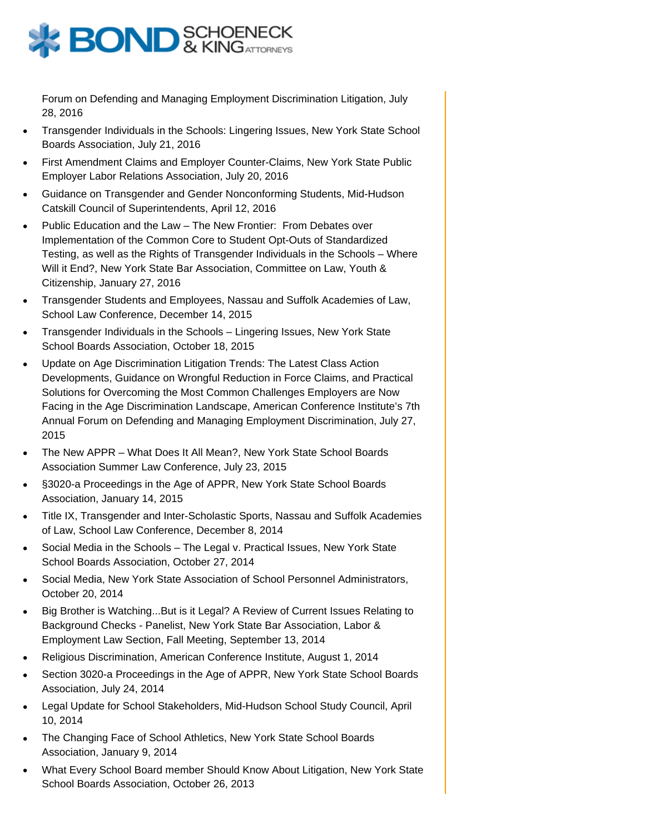

Forum on Defending and Managing Employment Discrimination Litigation, July 28, 2016

- Transgender Individuals in the Schools: Lingering Issues, New York State School Boards Association, July 21, 2016
- First Amendment Claims and Employer Counter-Claims, New York State Public Employer Labor Relations Association, July 20, 2016
- Guidance on Transgender and Gender Nonconforming Students, Mid-Hudson Catskill Council of Superintendents, April 12, 2016
- Public Education and the Law The New Frontier: From Debates over Implementation of the Common Core to Student Opt-Outs of Standardized Testing, as well as the Rights of Transgender Individuals in the Schools – Where Will it End?, New York State Bar Association, Committee on Law, Youth & Citizenship, January 27, 2016
- Transgender Students and Employees, Nassau and Suffolk Academies of Law, School Law Conference, December 14, 2015
- Transgender Individuals in the Schools Lingering Issues, New York State School Boards Association, October 18, 2015
- Update on Age Discrimination Litigation Trends: The Latest Class Action Developments, Guidance on Wrongful Reduction in Force Claims, and Practical Solutions for Overcoming the Most Common Challenges Employers are Now Facing in the Age Discrimination Landscape, American Conference Institute's 7th Annual Forum on Defending and Managing Employment Discrimination, July 27, 2015
- The New APPR What Does It All Mean?, New York State School Boards Association Summer Law Conference, July 23, 2015
- §3020-a Proceedings in the Age of APPR, New York State School Boards Association, January 14, 2015
- Title IX, Transgender and Inter-Scholastic Sports, Nassau and Suffolk Academies of Law, School Law Conference, December 8, 2014
- Social Media in the Schools The Legal v. Practical Issues, New York State School Boards Association, October 27, 2014
- Social Media, New York State Association of School Personnel Administrators, October 20, 2014
- Big Brother is Watching...But is it Legal? A Review of Current Issues Relating to Background Checks - Panelist, New York State Bar Association, Labor & Employment Law Section, Fall Meeting, September 13, 2014
- Religious Discrimination, American Conference Institute, August 1, 2014
- Section 3020-a Proceedings in the Age of APPR, New York State School Boards Association, July 24, 2014
- Legal Update for School Stakeholders, Mid-Hudson School Study Council, April 10, 2014
- The Changing Face of School Athletics, New York State School Boards Association, January 9, 2014
- What Every School Board member Should Know About Litigation, New York State School Boards Association, October 26, 2013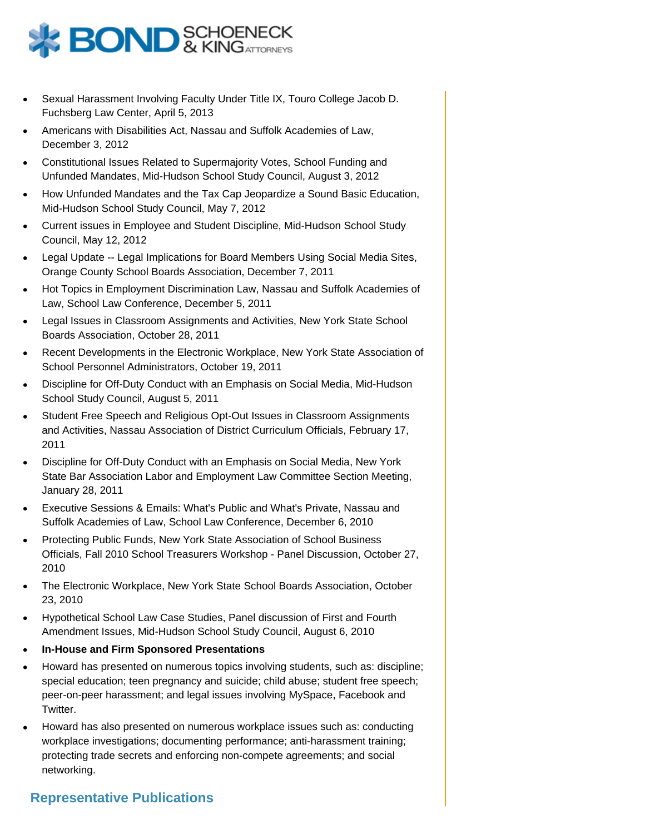

- Sexual Harassment Involving Faculty Under Title IX, Touro College Jacob D. Fuchsberg Law Center, April 5, 2013
- Americans with Disabilities Act, Nassau and Suffolk Academies of Law, December 3, 2012
- Constitutional Issues Related to Supermajority Votes, School Funding and Unfunded Mandates, Mid-Hudson School Study Council, August 3, 2012
- How Unfunded Mandates and the Tax Cap Jeopardize a Sound Basic Education, Mid-Hudson School Study Council, May 7, 2012
- Current issues in Employee and Student Discipline, Mid-Hudson School Study Council, May 12, 2012
- Legal Update -- Legal Implications for Board Members Using Social Media Sites, Orange County School Boards Association, December 7, 2011
- Hot Topics in Employment Discrimination Law, Nassau and Suffolk Academies of Law, School Law Conference, December 5, 2011
- Legal Issues in Classroom Assignments and Activities, New York State School Boards Association, October 28, 2011
- Recent Developments in the Electronic Workplace, New York State Association of School Personnel Administrators, October 19, 2011
- Discipline for Off-Duty Conduct with an Emphasis on Social Media, Mid-Hudson School Study Council, August 5, 2011
- Student Free Speech and Religious Opt-Out Issues in Classroom Assignments and Activities, Nassau Association of District Curriculum Officials, February 17, 2011
- Discipline for Off-Duty Conduct with an Emphasis on Social Media, New York State Bar Association Labor and Employment Law Committee Section Meeting, January 28, 2011
- Executive Sessions & Emails: What's Public and What's Private, Nassau and Suffolk Academies of Law, School Law Conference, December 6, 2010
- Protecting Public Funds, New York State Association of School Business Officials, Fall 2010 School Treasurers Workshop - Panel Discussion, October 27, 2010
- The Electronic Workplace, New York State School Boards Association, October 23, 2010
- Hypothetical School Law Case Studies, Panel discussion of First and Fourth Amendment Issues, Mid-Hudson School Study Council, August 6, 2010
- **In-House and Firm Sponsored Presentations**
- Howard has presented on numerous topics involving students, such as: discipline; special education; teen pregnancy and suicide; child abuse; student free speech; peer-on-peer harassment; and legal issues involving MySpace, Facebook and Twitter.
- Howard has also presented on numerous workplace issues such as: conducting workplace investigations; documenting performance; anti-harassment training; protecting trade secrets and enforcing non-compete agreements; and social networking.

#### **Representative Publications**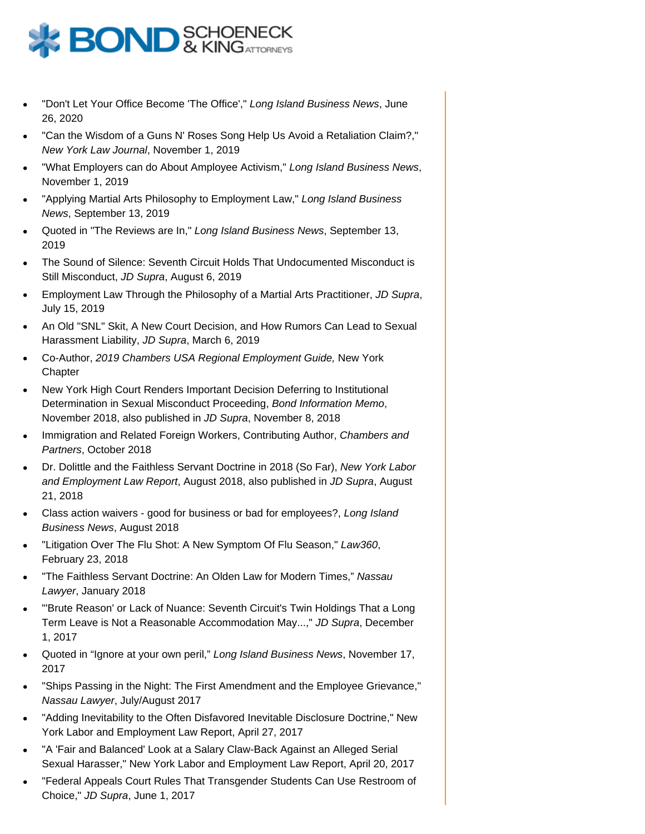

- "Don't Let Your Office Become 'The Office'," Long Island Business News, June 26, 2020
- "Can the Wisdom of a Guns N' Roses Song Help Us Avoid a Retaliation Claim?," New York Law Journal, November 1, 2019
- "What Employers can do About Amployee Activism," Long Island Business News, November 1, 2019
- "Applying Martial Arts Philosophy to Employment Law," Long Island Business News, September 13, 2019
- Quoted in "The Reviews are In," Long Island Business News, September 13, 2019
- The Sound of Silence: Seventh Circuit Holds That Undocumented Misconduct is Still Misconduct, JD Supra, August 6, 2019
- Employment Law Through the Philosophy of a Martial Arts Practitioner, JD Supra, July 15, 2019
- An Old "SNL" Skit, A New Court Decision, and How Rumors Can Lead to Sexual Harassment Liability, JD Supra, March 6, 2019
- Co-Author, 2019 Chambers USA Regional Employment Guide, New York **Chapter**
- New York High Court Renders Important Decision Deferring to Institutional Determination in Sexual Misconduct Proceeding, Bond Information Memo, November 2018, also published in JD Supra, November 8, 2018
- Immigration and Related Foreign Workers, Contributing Author, Chambers and Partners, October 2018
- Dr. Dolittle and the Faithless Servant Doctrine in 2018 (So Far), New York Labor and Employment Law Report, August 2018, also published in JD Supra, August 21, 2018
- Class action waivers good for business or bad for employees?, Long Island Business News, August 2018
- "Litigation Over The Flu Shot: A New Symptom Of Flu Season," Law360, February 23, 2018
- "The Faithless Servant Doctrine: An Olden Law for Modern Times," Nassau Lawyer, January 2018
- "'Brute Reason' or Lack of Nuance: Seventh Circuit's Twin Holdings That a Long Term Leave is Not a Reasonable Accommodation May...," JD Supra, December 1, 2017
- Quoted in "Ignore at your own peril," Long Island Business News, November 17, 2017
- "Ships Passing in the Night: The First Amendment and the Employee Grievance," Nassau Lawyer, July/August 2017
- "Adding Inevitability to the Often Disfavored Inevitable Disclosure Doctrine," New York Labor and Employment Law Report, April 27, 2017
- "A 'Fair and Balanced' Look at a Salary Claw-Back Against an Alleged Serial Sexual Harasser," New York Labor and Employment Law Report, April 20, 2017
- "Federal Appeals Court Rules That Transgender Students Can Use Restroom of Choice," JD Supra, June 1, 2017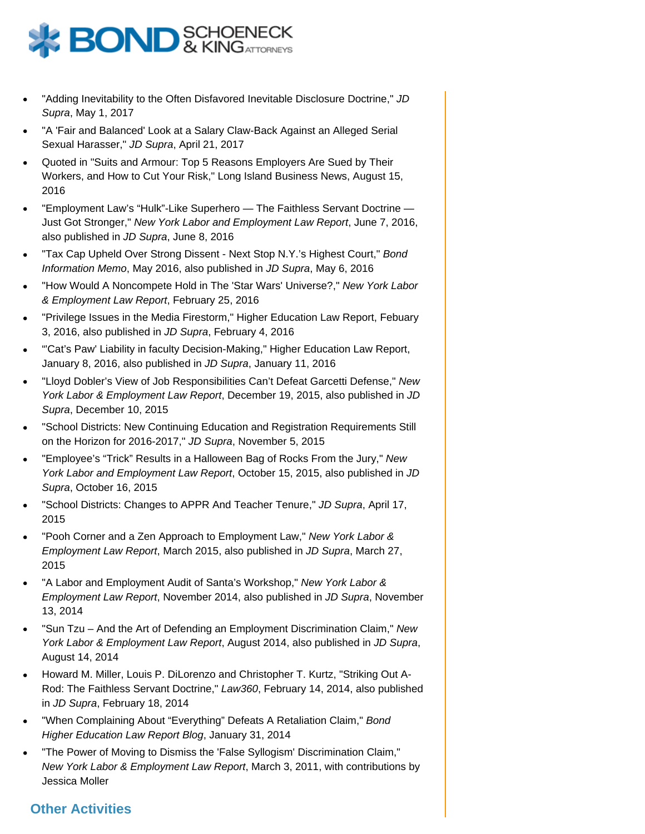

- "Adding Inevitability to the Often Disfavored Inevitable Disclosure Doctrine," JD Supra, May 1, 2017
- "A 'Fair and Balanced' Look at a Salary Claw-Back Against an Alleged Serial Sexual Harasser," JD Supra, April 21, 2017
- Quoted in "Suits and Armour: Top 5 Reasons Employers Are Sued by Their Workers, and How to Cut Your Risk," Long Island Business News, August 15, 2016
- "Employment Law's "Hulk"-Like Superhero The Faithless Servant Doctrine Just Got Stronger," New York Labor and Employment Law Report, June 7, 2016, also published in JD Supra, June 8, 2016
- "Tax Cap Upheld Over Strong Dissent Next Stop N.Y.'s Highest Court," Bond Information Memo, May 2016, also published in JD Supra, May 6, 2016
- "How Would A Noncompete Hold in The 'Star Wars' Universe?," New York Labor & Employment Law Report, February 25, 2016
- "Privilege Issues in the Media Firestorm," Higher Education Law Report, Febuary 3, 2016, also published in JD Supra, February 4, 2016
- "'Cat's Paw' Liability in faculty Decision-Making," Higher Education Law Report, January 8, 2016, also published in JD Supra, January 11, 2016
- "Lloyd Dobler's View of Job Responsibilities Can't Defeat Garcetti Defense," New York Labor & Employment Law Report, December 19, 2015, also published in JD Supra, December 10, 2015
- "School Districts: New Continuing Education and Registration Requirements Still on the Horizon for 2016-2017," JD Supra, November 5, 2015
- "Employee's "Trick" Results in a Halloween Bag of Rocks From the Jury," New York Labor and Employment Law Report, October 15, 2015, also published in JD Supra, October 16, 2015
- "School Districts: Changes to APPR And Teacher Tenure," JD Supra, April 17, 2015
- "Pooh Corner and a Zen Approach to Employment Law," New York Labor & Employment Law Report, March 2015, also published in JD Supra, March 27, 2015
- "A Labor and Employment Audit of Santa's Workshop," New York Labor & Employment Law Report, November 2014, also published in JD Supra, November 13, 2014
- "Sun Tzu And the Art of Defending an Employment Discrimination Claim," New York Labor & Employment Law Report, August 2014, also published in JD Supra, August 14, 2014
- Howard M. Miller, Louis P. DiLorenzo and Christopher T. Kurtz, "Striking Out A-Rod: The Faithless Servant Doctrine," Law360, February 14, 2014, also published in JD Supra, February 18, 2014
- "When Complaining About "Everything" Defeats A Retaliation Claim," Bond Higher Education Law Report Blog, January 31, 2014
- "The Power of Moving to Dismiss the 'False Syllogism' Discrimination Claim," New York Labor & Employment Law Report, March 3, 2011, with contributions by Jessica Moller

# **Other Activities**